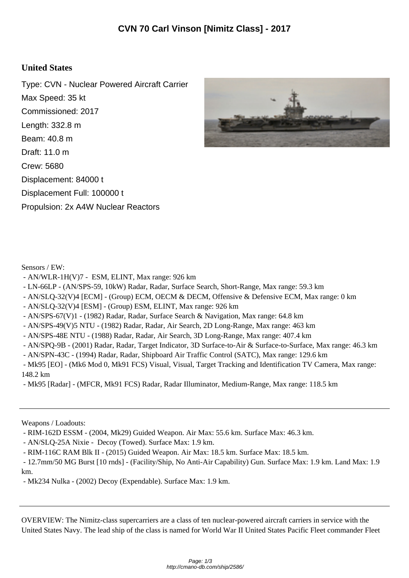## **United States**

Type: CVN - Nuclear Powered Aircraft Carrier Max Speed: 35 kt Commissioned: 2017 Length: 332.8 m Beam: 40.8 m Draft: 11.0 m Crew: 5680 Displacement: 84000 t Displacement Full: 100000 t Propulsion: 2x A4W Nuclear Reactors



Sensors / EW:

- AN/WLR-1H(V)7 ESM, ELINT, Max range: 926 km
- LN-66LP (AN/SPS-59, 10kW) Radar, Radar, Surface Search, Short-Range, Max range: 59.3 km
- AN/SLQ-32(V)4 [ECM] (Group) ECM, OECM & DECM, Offensive & Defensive ECM, Max range: 0 km
- AN/SLQ-32(V)4 [ESM] (Group) ESM, ELINT, Max range: 926 km
- AN/SPS-67(V)1 (1982) Radar, Radar, Surface Search & Navigation, Max range: 64.8 km
- AN/SPS-49(V)5 NTU (1982) Radar, Radar, Air Search, 2D Long-Range, Max range: 463 km
- AN/SPS-48E NTU (1988) Radar, Radar, Air Search, 3D Long-Range, Max range: 407.4 km
- AN/SPQ-9B (2001) Radar, Radar, Target Indicator, 3D Surface-to-Air & Surface-to-Surface, Max range: 46.3 km
- AN/SPN-43C (1994) Radar, Radar, Shipboard Air Traffic Control (SATC), Max range: 129.6 km
- Mk95 [EO] (Mk6 Mod 0, Mk91 FCS) Visual, Visual, Target Tracking and Identification TV Camera, Max range: 148.2 km
- Mk95 [Radar] (MFCR, Mk91 FCS) Radar, Radar Illuminator, Medium-Range, Max range: 118.5 km

Weapons / Loadouts:

- RIM-162D ESSM - (2004, Mk29) Guided Weapon. Air Max: 55.6 km. Surface Max: 46.3 km.

- AN/SLQ-25A Nixie - Decoy (Towed). Surface Max: 1.9 km.

- RIM-116C RAM Blk II - (2015) Guided Weapon. Air Max: 18.5 km. Surface Max: 18.5 km.

 - 12.7mm/50 MG Burst [10 rnds] - (Facility/Ship, No Anti-Air Capability) Gun. Surface Max: 1.9 km. Land Max: 1.9 km.

- Mk234 Nulka - (2002) Decoy (Expendable). Surface Max: 1.9 km.

OVERVIEW: The Nimitz-class supercarriers are a class of ten nuclear-powered aircraft carriers in service with the United States Navy. The lead ship of the class is named for World War II United States Pacific Fleet commander Fleet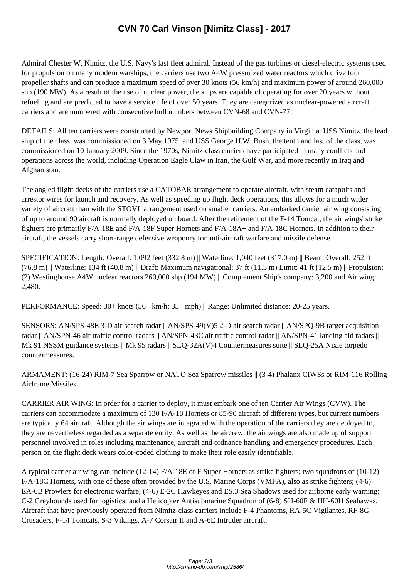Admiral Chester W. Nimitz, th[e U.S. Navy's last fleet admiral. Instead of the gas turbines](http://cmano-db.com/ship/2586/) or diesel-electric systems used for propulsion on many modern warships, the carriers use two A4W pressurized water reactors which drive four propeller shafts and can produce a maximum speed of over 30 knots (56 km/h) and maximum power of around 260,000 shp (190 MW). As a result of the use of nuclear power, the ships are capable of operating for over 20 years without refueling and are predicted to have a service life of over 50 years. They are categorized as nuclear-powered aircraft carriers and are numbered with consecutive hull numbers between CVN-68 and CVN-77.

DETAILS: All ten carriers were constructed by Newport News Shipbuilding Company in Virginia. USS Nimitz, the lead ship of the class, was commissioned on 3 May 1975, and USS George H.W. Bush, the tenth and last of the class, was commissioned on 10 January 2009. Since the 1970s, Nimitz-class carriers have participated in many conflicts and operations across the world, including Operation Eagle Claw in Iran, the Gulf War, and more recently in Iraq and Afghanistan.

The angled flight decks of the carriers use a CATOBAR arrangement to operate aircraft, with steam catapults and arrestor wires for launch and recovery. As well as speeding up flight deck operations, this allows for a much wider variety of aircraft than with the STOVL arrangement used on smaller carriers. An embarked carrier air wing consisting of up to around 90 aircraft is normally deployed on board. After the retirement of the F-14 Tomcat, the air wings' strike fighters are primarily F/A-18E and F/A-18F Super Hornets and F/A-18A+ and F/A-18C Hornets. In addition to their aircraft, the vessels carry short-range defensive weaponry for anti-aircraft warfare and missile defense.

SPECIFICATION: Length: Overall: 1,092 feet (332.8 m) || Waterline: 1,040 feet (317.0 m) || Beam: Overall: 252 ft  $(76.8 \text{ m})$  || Waterline: 134 ft (40.8 m) || Draft: Maximum navigational: 37 ft (11.3 m) Limit: 41 ft (12.5 m) || Propulsion: (2) Westinghouse A4W nuclear reactors 260,000 shp (194 MW) || Complement Ship's company: 3,200 and Air wing: 2,480.

PERFORMANCE: Speed: 30+ knots (56+ km/h; 35+ mph) || Range: Unlimited distance; 20-25 years.

SENSORS: AN/SPS-48E 3-D air search radar || AN/SPS-49(V)5 2-D air search radar || AN/SPQ-9B target acquisition radar || AN/SPN-46 air traffic control radars || AN/SPN-43C air traffic control radar || AN/SPN-41 landing aid radars || Mk 91 NSSM guidance systems || Mk 95 radars || SLQ-32A(V)4 Countermeasures suite || SLQ-25A Nixie torpedo countermeasures.

ARMAMENT: (16-24) RIM-7 Sea Sparrow or NATO Sea Sparrow missiles || (3-4) Phalanx CIWSs or RIM-116 Rolling Airframe Missiles.

CARRIER AIR WING: In order for a carrier to deploy, it must embark one of ten Carrier Air Wings (CVW). The carriers can accommodate a maximum of 130 F/A-18 Hornets or 85-90 aircraft of different types, but current numbers are typically 64 aircraft. Although the air wings are integrated with the operation of the carriers they are deployed to, they are nevertheless regarded as a separate entity. As well as the aircrew, the air wings are also made up of support personnel involved in roles including maintenance, aircraft and ordnance handling and emergency procedures. Each person on the flight deck wears color-coded clothing to make their role easily identifiable.

A typical carrier air wing can include (12-14) F/A-18E or F Super Hornets as strike fighters; two squadrons of (10-12) F/A-18C Hornets, with one of these often provided by the U.S. Marine Corps (VMFA), also as strike fighters; (4-6) EA-6B Prowlers for electronic warfare; (4-6) E-2C Hawkeyes and ES.3 Sea Shadows used for airborne early warning; C-2 Greyhounds used for logistics; and a Helicopter Antisubmarine Squadron of (6-8) SH-60F & HH-60H Seahawks. Aircraft that have previously operated from Nimitz-class carriers include F-4 Phantoms, RA-5C Vigilantes, RF-8G Crusaders, F-14 Tomcats, S-3 Vikings, A-7 Corsair II and A-6E Intruder aircraft.